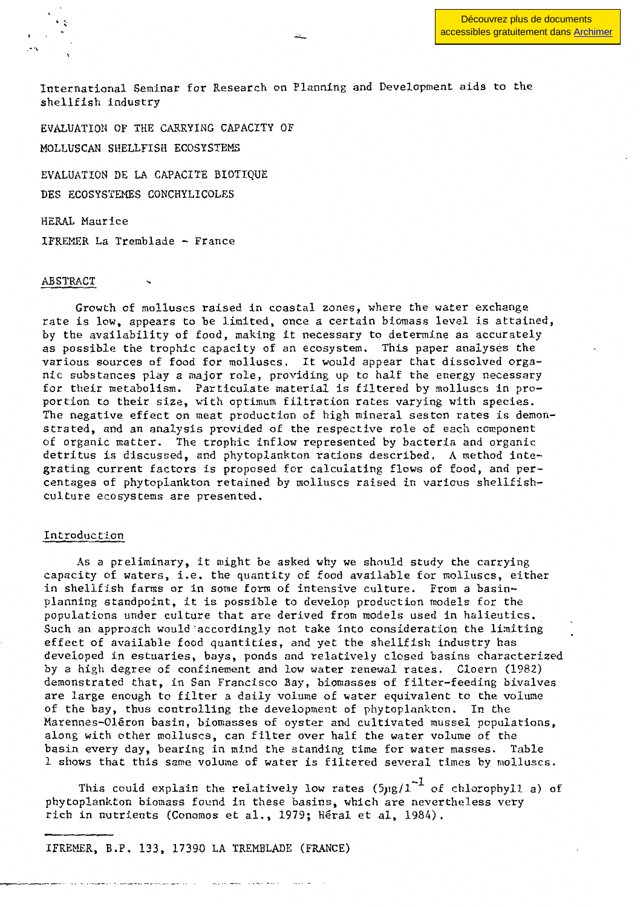Découvrez plus de documents [accessibles gratuitement dans Archimer](http://www.ifremer.fr/docelec/)

International Seminar for Research on Planning and Development aids to the shellfish industry

EVALUATION OF THE CARRYING CAPACITY OF MOLLUSCAN SHELLFISH ECOSYSTEMS

EVALUATION DE LA CAPACITE BIOTIQUE DES ECOSYSTEMES CONCHYLICOLES

HERAL Maurice IFREMER La Tremblade - France

## **ABSTRACT**

Growth of molluscs raised in coastal zones, where the water exchange rate is low, appears to be limited, once a certain biomass level is attained, by the availability of food, making it necessary to determine as accurately as possible the trophic capacity of an ecosystem. This paper analyses the various sources of food for molluscs. It would appear that dissolved organic substances play a major role, providing up to half the energy necessary for their metabolism. Particulate material is filtered by molluscs in proportion to their size, with optimum filtration rates varying with species. The negative effect on meat production of high mineraI seston rates is demonstrated, and an analysis provided of the respective role of each component of organic matter. The trophic inflow represented by bacteria and organic detritus is discussed, and phytoplankton rations described. A method integrating current factors is proposed for calculating flows of food, and percentages of phytoplankton retained by molluscs raised in various she1lfishculture ecosystems are presented.

#### Introduction

As a preliminary, it might be asked why we should study the carrying capacity of waters, i.e. the quantity of food available for molluscs, either in shellfish farms or in some form of intensive culture. From a basinplanning standpoint, it is possible to develop production models for the populations under culture that are derived from models used in halieutics. Such an approach would'accordingly not take into consideration the limiting effect of available food quantities, and yet the shellfish industry has deve10ped in estuaries, bays, ponds and relatively closed basins characterized by a high degree of confinement and low water renewal rates. C10ern (1982) demonstrated that, in San Francisco Bay, biomasses of fi1ter-feeding bivalves are large enough to filter a dai1y volume of water equivalent to the volume of the bay, thus contro11ing the development of phytop1ankton. In the Marennes-Oléron basin, biomasses of oyster and cultivated mussel populations, along with other molluscs, can filter over half the water volume of the basin every day, bearing in mind the standing time for water masses. Table 1 shows that this same volume of water is filtered several times by molluscs.

This could explain the relatively low rates  $(5\mu g/l^{-1}$  of chlorophy11 a) of phytop1ankton biomass found in these basins, which are neverthe1ess very rich in nutrients (Conomos et al., 1979; Héral et al, 1984).

IFREMER, B.P. 133, 17390 LA TREMBLADE (FRANCE)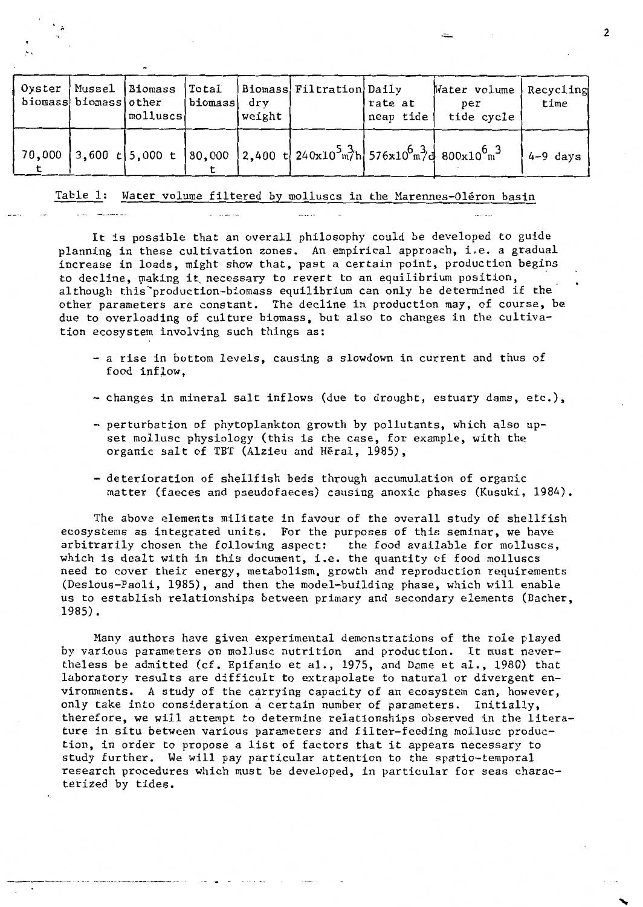| Oyster | Mussel Biomass<br>biomass biomass other | molluscs | Total<br>biomass | drv<br>weight | Biomass  Filtration  Daily                                                                                                                                   | rate at<br>neap tide | Water volume<br>per<br>tide cycle | Recycling<br>time |
|--------|-----------------------------------------|----------|------------------|---------------|--------------------------------------------------------------------------------------------------------------------------------------------------------------|----------------------|-----------------------------------|-------------------|
|        |                                         |          |                  |               | 70,000 3,600 t 5,000 t 80,000 2,400 t 240x10 <sup>5</sup> $\frac{3}{2}$ h 576x10 <sup>6</sup> $\frac{3}{2}$ d 800x10 <sup>6</sup> $\frac{3}{2}$ <sup>6</sup> |                      |                                   | 4-9 days          |

## Table 1: Water volume filtered by molluses in the Marennes-Oléron basin

It is possible that an overall philosophy eould be developed to guide planning in these cultivation zones. An empirieal approach, i.e. a graduaI increase in loads, might show that, past a certain point, production begins to decline, making it necessary to revert to an equilibrium position, al though this "production-biomass equilibrium can only be determined if the other parameters are constant. The decline in production may, of course, be due to overloading of culture biomass, but also to changes in the cultivation ecosystem involving such things as:

- a rise in bottom levels, causing a slowdown in current and thus of food inflow.
- changes in mineraI salt inflows (due to drought, estuary dams, etc.),
- perturbation of phytoplankton growth by pollutants, which also upset mollusc physiology (this is the case, for example, with the organic salt of TBT (Alzieu and Héral, 1985),
- deterioration of shellfish beds through accumulation of organic matter (faeces and pseudofaeces) causing anoxie phases (Kusuki, 1984).

The above elements militate in favour of the overall study of shellfish ecosystems as integrated units. For the purposes of this seminar, we have arbitrarily chosen the following aspect: the food available for molluscs, which is dealt with in this document, i.e. the quantity of food molluscs need to cover their energy, metabolism, growth and reproduction requirements (Deslous-Paoli, 1985), and then the model-building phase, which will enable us to establish relationships between primary and secondary elements (Bacher, 1985).

Many authors have given experimental demonstrations of the role played by various parameters on mollusc nutrition and production. It must nevertheless be admitted (cf. Epifanio et al., 1975, and Dame et al., 1980) that laboratory results are difficult to extrapolate to natural or divergent environments. A study of the carrying capacity of an ecosystem can, however, only take into consideration a certain number of parameters. Initially, therefore, we will attempt to determine relationships observed in the literature in situ between various parameters and filter-feeding mollusc production, in order to propose a list of factors that it appears necessary to study further. We will pay particular attention to the spatio-temporal research procedures which must be developed, in particular for seas characterized by tides.

 $\frac{1}{2}$  . The contract of  $\frac{1}{2}$  . The contract of  $\frac{1}{2}$  . The contract of  $\frac{1}{2}$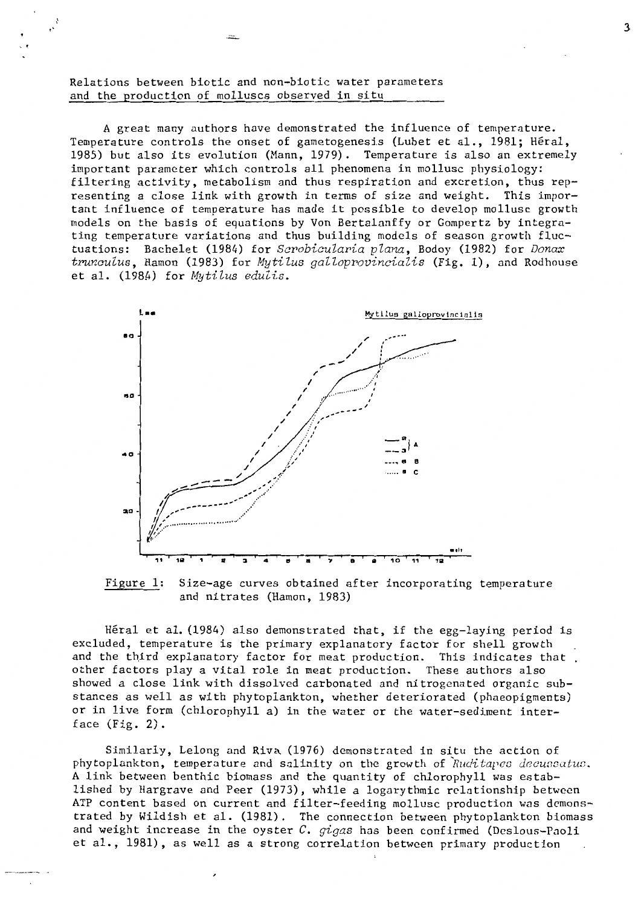Relations between biotic and non-biotic water parameters and the production of molluscs observed in situ

A great many authors have demonstrated the influence of temperature. Temperature controls the onset of gametogenesis (Lubet et al., 1981; Héral, 1985) but also its evolution (Mann, 1979). Temperature is also an extremely important parameter which controls all phenomena in mollusc physiology: filtering activity, metabolism and thus respiration and excretion, thus representing a close link with growth in terms of size and weight. This important influence of temperature has made it possible to develop mollusc growth models on the basis of equations by Von Bertalanffy or Gompertz by integrating temperature variations and thus building models of season growth fluctuations: Bachelet (1984) for Scrobicularia plana, Bodoy (1982) for Donax trunculus, Hamon (1983) for Mytilus galloprovincialis (Fig. 1), and Rodhouse et al. (1984) for Mytilus edulis.



Figure 1: Size-age curves obtained after incorporating temperature and nitrates (Hamon, 1983)

Héral et al. (1984) also demonstrated that, if the egg-laying period is excluded, temperature is the primary explanatory factor for shell growth and the third explanatory factor for meat production. This indicates that. other factors play a vital role in meat production. These authors also showed a close link with dissolved carbonated and nitrogenated organic substances as well as with phytoplankton, whether deteriorated (phaeopigments) or in live form (chlorophyll a) in the water or the water-sediment interface  $(Fig. 2)$ .

Similarly, Lelong and Riva (1976) demonstrated in situ the action of phytoplankton, temperature and salinity on the growth of Ruditapes decussatus. A link between benthic biomass and the quantity of chlorophyll was established by Hargrave and Peer (1973), while a logarythmic relationship between ATP content based on current and filter-feeding mollusc production was demonstrated by Wildish et al. (1981). The connection between phytoplankton biomass and weight increase in the oyster C.  $qigas$  has been confirmed (Deslous-Paoli et al., 1981), as well as a strong correlation between primary production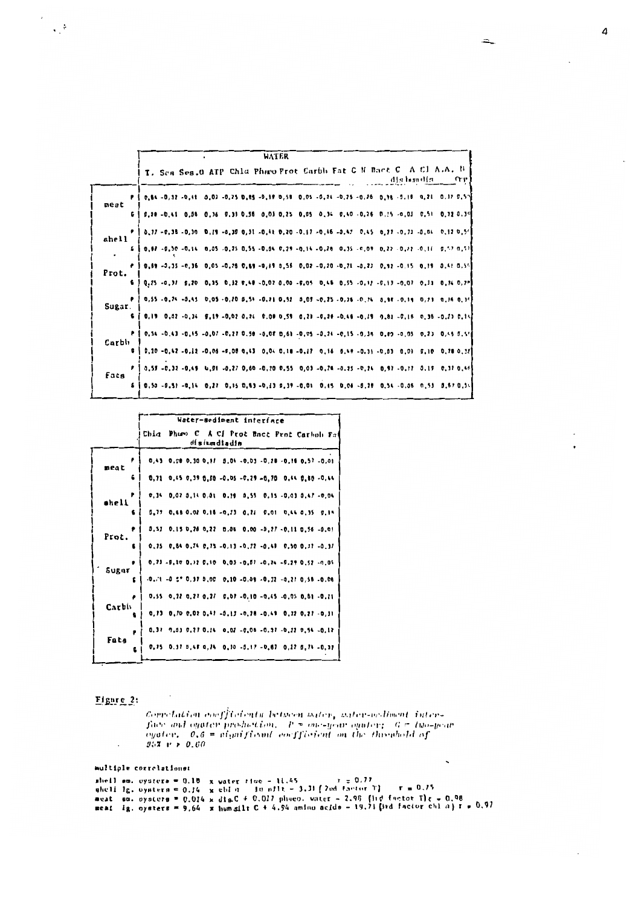| <b>WATER</b> |                                                                                                                                                                                                      |  |  |  |  |  |  |
|--------------|------------------------------------------------------------------------------------------------------------------------------------------------------------------------------------------------------|--|--|--|--|--|--|
|              | I. Ses Ses.0 ATP Chla Phico Prot Carbh Fat C N Bact C A Cl A.A. N  <br>alla bundla<br>Ω÷μ.                                                                                                           |  |  |  |  |  |  |
| meat         | 0.54 -0.32 -0.41 0.03 -0.25 0.85 -0.19 0.58 0.05 -0.24 -0.25 -0.26 0.98 -0.16 0.21 0.37 0.57                                                                                                         |  |  |  |  |  |  |
| 6.           | $\begin{bmatrix} 0.28 & -0.41 & 0.05 & 0.35 & 0.31 & 0.55 & 0.03 & 0.25 & 0.05 & 0.34 & 0.40 & -0.25 & 0.15 & -0.03 & 0.51 & 0.32 & 0.39 \end{bmatrix}$                                              |  |  |  |  |  |  |
| shell        | 0.17 -0.35 -0.30 0.17 -0.30 0.31 -0.41 0.20 -0.17 -0.46 -0.47 0.45 0.77 -0.33 -0.04 0.17 0.54                                                                                                        |  |  |  |  |  |  |
|              | 0.87 -0.50 -0.14 0.05 -0.25 0.55 -0.04 0.29 -0.14 -0.28 0.35 -0.09 0.27 -0.27 -0.11 0.57 0.57                                                                                                        |  |  |  |  |  |  |
| Prot.        | 0,69 -0,35 -0,36 0,05 -0,26 0,89 -0,19 0,56 0,02 -0,20 -0,21 -0,23 0,92 -0,15 0,19 0,41 0,54                                                                                                         |  |  |  |  |  |  |
|              | $[0.25 - 0.37 - 0.20 - 0.35 - 0.32 - 0.48 - 0.07 - 0.05 - 0.45 - 0.55 - 0.17 - 0.13 - 0.07 - 0.33 - 0.74 - 0.77]$                                                                                    |  |  |  |  |  |  |
| Sugar.       | 0.55 -0.24 -0.45 0.05 -0.20 0.54 -0.21 0.52 0.09 -0.25 -0.35 -0.24 0.88 -0.19 0.23 0.14 0.34                                                                                                         |  |  |  |  |  |  |
|              | $0.19$ 0.02 -0.34 0.19 -0.02 0.24 0.08 0.59 0.29 -0.26 -0.46 -0.19 0.83 -0.16 0.36 -0.23 0.14                                                                                                        |  |  |  |  |  |  |
| Carbh        | $0.54 - 0.43 - 0.45 - 0.07 - 0.27$ 0.59 $-0.08$ 0.61 $-0.05 - 0.74 - 0.15 - 0.35$ 0.89 $-0.05$ 0.73 0.45 0.54                                                                                        |  |  |  |  |  |  |
|              | $0.20 - 0.42 - 0.12 - 0.06 - 0.06 0.43 0.04 0.18 - 0.17 0.16 0.49 - 0.31 - 0.03 0.03 0.10 0.78 0.25$<br>0.59 -0.32 -0.49 0.01 -0.27 0.60 -0.20 0.55 0.03 -0.26 -0.25 -0.24 0.97 -0.17 0.19 0.37 0.46 |  |  |  |  |  |  |
| Fats         | 0,50 -0,51 -0,14 0,27 0,15 0,83 -0,13 0,39 -0,01 0,15 0,06 -0,76 0,54 -0,06 0,53 0,67 0,54                                                                                                           |  |  |  |  |  |  |
|              |                                                                                                                                                                                                      |  |  |  |  |  |  |

|            | Water-sediment interface                                                            |  |  |  |  |  |  |  |
|------------|-------------------------------------------------------------------------------------|--|--|--|--|--|--|--|
|            | Chla Phuen C A Cl Prot Bact Prot Carboli Fat<br>dishundiadia                        |  |  |  |  |  |  |  |
| meat       | $0,43$ 0.00 0.30 0.17 0.04 -0.03 -0.78 -0.16 0.57 -0.01                             |  |  |  |  |  |  |  |
| 6          | $0,71$ 0.45 0.39 0.50 -0.05 -0.29 -0.70 0.44 0.50 -0.44                             |  |  |  |  |  |  |  |
| ₽<br>shell | 0.14 0.02 0.14 0.01 0.19 0.55 0.15 -0.03 0.47 -0.04                                 |  |  |  |  |  |  |  |
| £          | 0.75 0.68 0.02 0.16 -0.23 0.21 0.01 0.44 0.35 0.19                                  |  |  |  |  |  |  |  |
| Prot.      | 0,51 0,15 0,28 0,22 0,06 0,00 -0,27 -0,11 0,56 -0,01                                |  |  |  |  |  |  |  |
|            | $0, 75$ 0.54 0.24 0.75 -0.13 -0.22 -0.49 0.50 0.37 -0.37                            |  |  |  |  |  |  |  |
| Sugar      | 0.73 -0.10 0.32 0.10 0.03 -0.01 -0.24 -0.29 0.52 -0.05                              |  |  |  |  |  |  |  |
|            | $-0.11 - 0.2$ $0.31 0.00 0.10 - 0.09 - 0.32 - 0.21 0.58 - 0.08$                     |  |  |  |  |  |  |  |
| Carbh      | $0.55$ 0.22 0.27 0.27 0.07 -0.10 -0.45 -0.05 0.81 -0.11                             |  |  |  |  |  |  |  |
|            | $0, 13$ 0, $10$ 0, $02$ 0, $13$ -0, $13$ -0, $28$ -0, $14$ 0, $32$ 0, $21$ -0, $31$ |  |  |  |  |  |  |  |
| Fats       | 0.37 7.03 0.27 0.14 0.02 -0.08 -0.37 -0.22 0.54 -0.12                               |  |  |  |  |  |  |  |
|            | 0.75 0.37 0.48 0.74 0.10 -0.17 -0.67 0.27 0.74 -0.37                                |  |  |  |  |  |  |  |

## $Figure 2:$

 $\bar{z}$ 

 $\epsilon$  $\propto \frac{1}{\epsilon}$ 

Correlation coefficients between water, water-acdiment inter-<br>face and opater production,  $P = one-s_jcone$  opater;  $G = two-jca$ <br>opater,  $0, \theta = a(jnifical)$  coefficient on the threabold of<br> $95\%$  P >  $0, 80$ 

# multiple correlations: whell ow, oysters = 0.18 x water time - 11.45  $r = 0.77$ <br>whell Ig, oysters = 0.14 x chl n = 1n niit - 3.31 (2nd factor T) = r = 0.75<br>weat som, oysters = 0.014 x dimet + 0.017 phneo, water - 2.99 (31d factor T) r = 0.98<br>mea

 $\Lambda$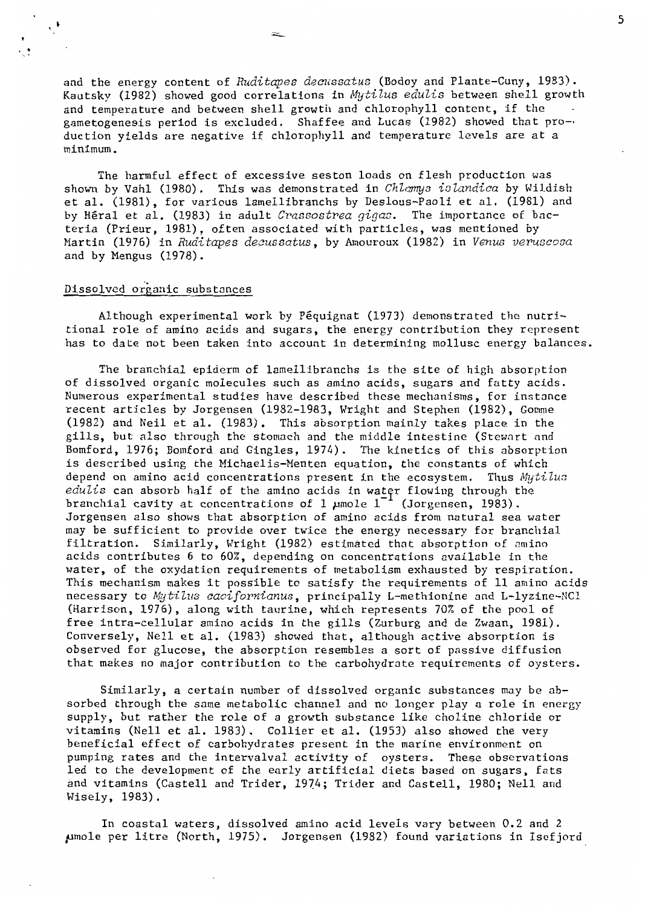and the energy content of *Ruditapes decussatus* (Bodoy and Plante-Cuny, 1983). Kautsky (1982) showed good correlations in *Mytilus edulis* between shell growth and temperature and between shell growth and chlorophyll content, if the gametogenesis period is excluded. Shaffee and Lucas (1982) showed that pro-. duction yields are negative if chlorophyll and temperature levels are at a minimum.

The harmful effect of excessive seston loads on flesh production was shown by Vahl (1980). This was demonstrated in *ChZamys islandica* by Wildish et al. (1981), for various lamellibranchs by Des10us-Pao1i et al. (1981) and by Héral et al. (1983) in adult *Crassostrea gigas*. The importance of bacteria (Prieur, 1981), often associated with particles, was mentioned by Martin (1976) in *Ruditapes decussatus*, by Amouroux (1982) in *Venus veruscosa* and by Mengus (1978).

## Dissolved organic substances

. .  $\frac{1}{2}$ 

> Although experimenta1 work by Péquignat (1973) demonstrated the nutritional role of amino acids and sugars, the energy contribution they represent has to date not been taken into account in determining mollusc energy balances.

> The branchial epiderm of lamellibranchs is the site of high absorption of dissolved organic molecules such as amino acids, sugars and fatty acids. Numerous experimental studies have described these mechanisms, for instance recent articles by Jorgensen (1982-1983, Wright and Stephen (1982), Gomme (1982) and Neil et al. (1983). This absorption mainly takes place in the gills, but also through the stomach and the middle intestine (Stewart and Bomford, 1976; Bomford and Gingles, 1974). The kinetics of this absorption is described using the Michaelis-Menten equation, the constants of which depend on amino acid concentrations present in the ecosystem. Thus *Mytilu3 edulis* can absorb half of the amino acids in water flowing through the branchial cavity at concentrations of 1  $\mu$ mole 1<sup>-1</sup> (Jorgensen, 1983). Jorgensen a1so shows that absorption of amino acids from natural sea water may be sufficient to provide over twice the energy necessary for branchial filtration. Similarly, Wright (1982) estimated that absorption of amino acids contributes 6 to 60%, depending on concentrations available in the water, of the oxydation requirements of metabolism exhausted by respiration. This mechanism makes it possible to satisfy the requirements of Il amino acids necessary to *Mytilus caoifornianus*, principally L-methionine and L-lyzine-NCl (Harrison, 1976), a10ng with taurine, which represents 70% of the pool of free intra-cellular amino acids in the gi1ls (Zurburg and de Zwaan, 1981). Conversely, Nell et al. (1983) showed that, a1though active absorption is observed for glucose, the absorption resemb1es a sort of passive diffusion that makes no major contribution to the carbohydrate requirements of oysters.

Simi1arly, a certain number of disso1ved organic substances may be absorbed through the same metabo1ic channel and no longer play a role in energy supply, but rather the role of a growth substance like choline chloride or vitamins (Nell et al. 1983). Collier et al. (1953) also showed the very beneficial effect of carbohydrates present in the marine environment on pumping rates and the intervalval activity of oysters. These observations 1ed to the development of the early artificial diets based on sugars, fats and vitamins (CasteIl and Trider, 1974; Trider and CasteIl, 1980; Nell and Wisely, 1983).

In coastal waters, disso1ved amino acid 1eve1s vary between 0.2 and 2 pmole per litre (North, 1975). Jorgensen (1982) found variations in Isefjord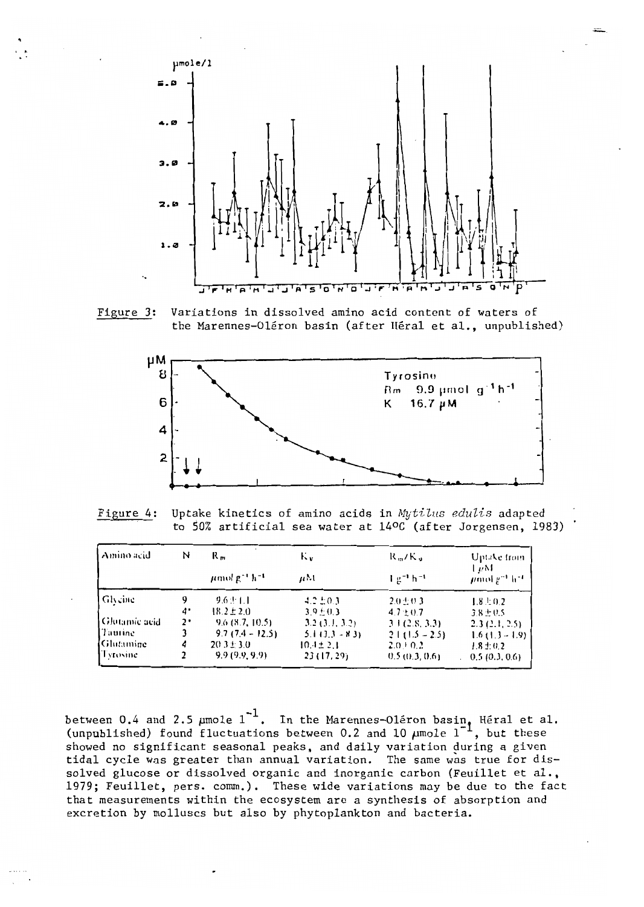

Figure 3: Variations in dissolved amino acid content of waters of the Marennes-Oléron basin (after Héral et al., unpublished)



Figure 4: Uptake kinetics of amino acids in Mytilus edulis adapted to 50% artificial sea water at 14°C (after Jorgensen, 1983)

| Amino acid    | N  | $R_{\rm m}$                               | К.,            | ドッパー                            | Uptake from                                |
|---------------|----|-------------------------------------------|----------------|---------------------------------|--------------------------------------------|
|               |    | $\mu$ mol g <sup>-1</sup> h <sup>-1</sup> | $\mu$ M        | $\frac{1}{2}$ $g^{-1}$ $h^{-1}$ | 1 uM<br>$\mu$ mol $g^{-1}$ h <sup>-1</sup> |
| Glycine       | 9  | 9.6 ± 1.1                                 | $4.2 \pm 0.3$  | $2.0 \pm 0.3$                   | $1.8 \pm 0.2$                              |
|               | 4. | $18.2 \pm 2.0$                            | $3.9 + 0.3$    | $4.7 \pm 0.7$                   | $3.8 \pm 0.5$                              |
| Glutamic acid | 2٠ | 9.6(8.7, 10.5)                            | 3.2(3.1, 3.2)  | 31(2.8, 3.3)                    | 2.3(2.1, 2.5)                              |
| l Taurine     |    | $9.7(7.4 - 12.5)$                         | $5.113.3 - 83$ | $21(1.5 - 2.5)$                 | $1.6(1.3 - 1.9)$                           |
| l Glutamine - | 4  | $20.3 \pm 3.0$                            | $10.4 \pm 2.1$ | $2.0 \pm 0.2$                   | $1.8 \pm 0.2$                              |
| Tyrosine.     |    | 9.9(9.9, 9.9)                             | 23(17, 29)     | 0.5(0.3, 0.6)                   | 0.5(0.3, 0.6)                              |

between 0.4 and 2.5  $\mu$ mole 1<sup>-1</sup>. In the Marennes-Oléron basin, Héral et al.<br>(unpublished) found fluctuations between 0.2 and 10  $\mu$ mole 1<sup>-1</sup>, but these showed no significant seasonal peaks, and daily variation during a given tidal cycle was greater than annual variation. The same was true for dissolved glucose or dissolved organic and inorganic carbon (Feuillet et al., 1979; Feuillet, pers. comm.). These wide variations may be due to the fact that measurements within the ecosystem are a synthesis of absorption and excretion by molluscs but also by phytoplankton and bacteria.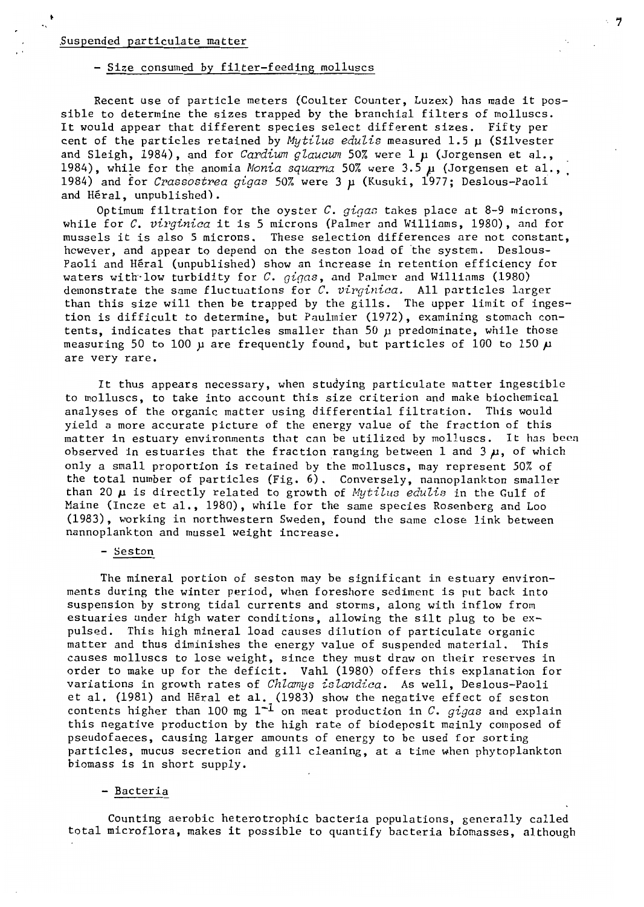## Suspended particulate matter

#### - Size consumed by filter-feeding molluscs

Recent use of particle meters (Coulter Counter, Luzex) has made it possible to determine the sizes trapped by the branchial filters of molluscs. It would appear that different species select different sizes. Fifty per cent of the particles retained by *Mytilus edulis* measured 1.5 µ (Silvester and Sleigh, 1984), and for *Cardium glaucum* 50% were 1  $\mu$  (Jorgensen et al., 1984), while for the anomia *Monia squarma* 50% were 3.5  $\mu$  (Jorgensen et al., 1984) and for *Crassastrea gigas* 50% were 3 *p* (Kusuki, 1977; Deslous-Paoli and Héral, unpublished).

7

Optimum filtration for the oyster *C. gigas* takes place at 8-9 microns, while for *C. virginica* it is 5 microns (Palmer and Williams, 1980), and for mussels it is also 5 microns. These selection differences are not constant, however, and appear to depend on the seston load of the system. Deslous-Paoli and Héral (unpublished) show an increase in retention efficiency for waters with low turbidity for *C. gigas*, and Palmer and Williams (1980) demonstrate the same fluctuations for *C. virginica.* AlI particles larger than this size will then be trapped by the gills. The upper limit of ingestion is difficult to determine, but Paulmier (1972), examining stomach contents, indicates that particles smaller than 50 µ predominate, while those measuring 50 to 100  $\mu$  are frequently found, but particles of 100 to 150  $\mu$ are very rare.

It thus appears necessary, when studying particulate matter ingestible to molluscs, to take into account this size criterion and make biochemical analyses of the organic matter using differential filtration. This would yield a more accurate picture of the energy value of the fraction of this matter in estuary environments that can be utilized by molluscs. It has been observed in estuaries that the fraction ranging between 1 and 3  $\mu$ , of which only a small proportion is retained by the molluscs, may represent 50% of the total number of particles (Fig. 6). Conversely, nannoplankton smaller than 20  $\mu$  is directly related to growth of *Mytilus edulis* in the Gulf of Maine (Incze et al., 1980), while for the same species Rosenberg and Loo (1983), working in northwestern Sweden, found the same close link between nannoplankton and mussel weight increase.

- Seston

The mineraI portion of seston may be significant in estuary environ ments during the winter period, when foreshore sediment is put back into suspension by strong tidal currents and storms, along with inflow from estuaries under high water conditions, allowing the silt plug to be expulsed. This high mineraI load causes dilution of particulate organic matter and thus diminishes the energy value of suspended material. This causes molluscs to lose weight, since they must draw on their reserves in order to make up for the deficit. Vahl (1980) offers this explanation for variations in growth rates of *Chlamys islandica.* As weIl, Deslous-Paoli et al. (1981) and Héral et al. (1983) show the negative effect of seston contents higher than 100 mg 1-1 on meat production in *C. gigas* and explain this negative production by the high rate of biodeposit mainly composed of pseudofaeces, causing larger amounts of energy to be used for sorting particles, mucus secretion and gill cleaning, at a time when phytoplankton biomass is in short supply.

## - Bacteria

Counting aerobic heterotrophic bacteria populations, generally called total microflora, makes it possible to quantify bacteria biomasses, although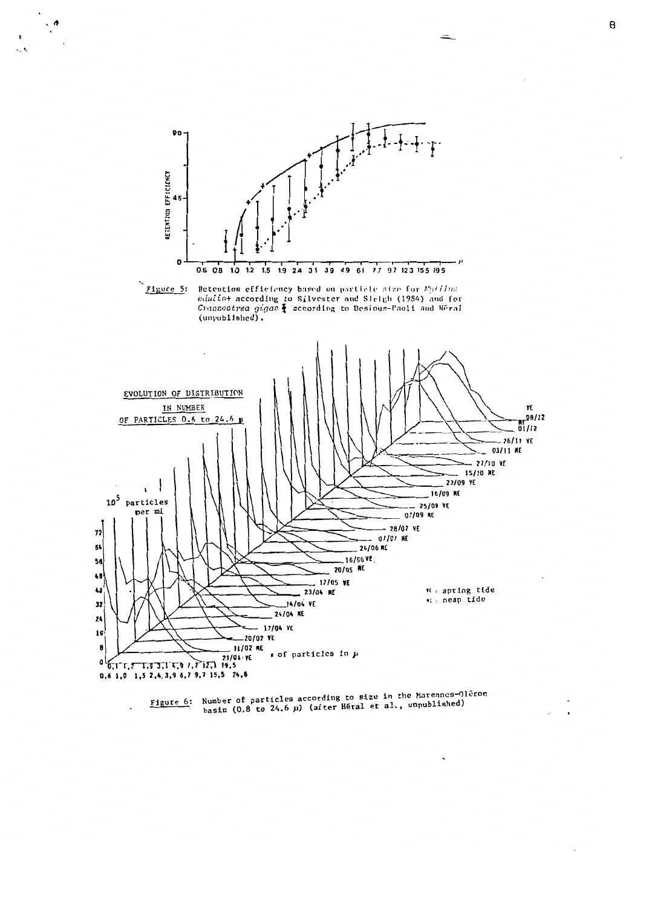

 $\ddot{\cdot}$ 

k,



 $\overline{\phantom{0}}$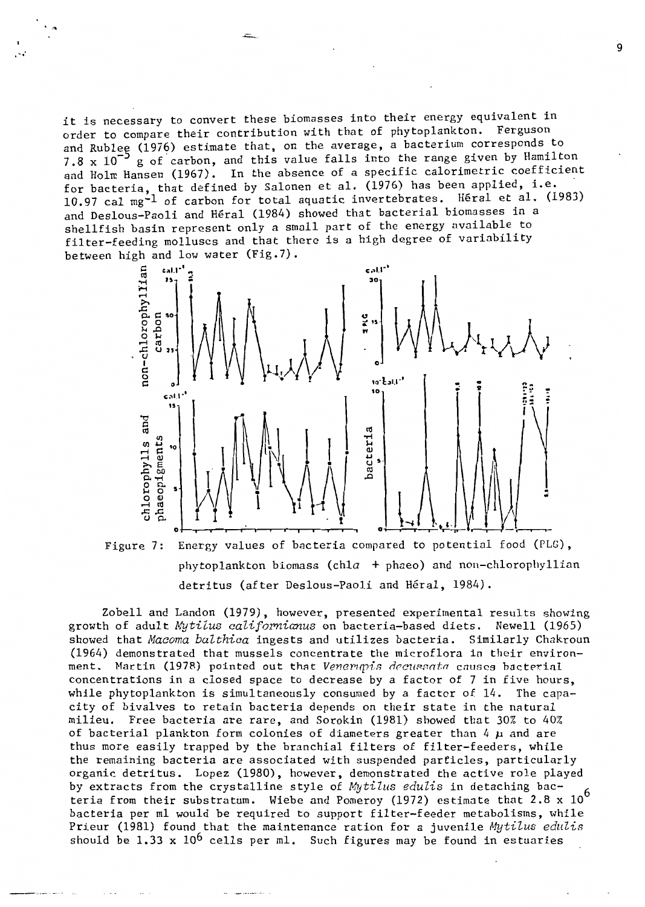it is necessary to convert these biomasses into their energy equivalent in order to compare their contribution with that of phytoplankton. Ferguson and Rublee (1976) estimate that, on the average, a bacterium corresponds to 7.8 x 10<sup>-2</sup> g of carbon, and this value falls into the range given by Hamilton and Holm Hansen (1967). In the absence of a specific calorimetric coefficient for bacteria, that defined by Salonen et al. (1976) has been applied, i.e. 10.97 cal mg<sup>-1</sup> of carbon for total aquatic invertebrates. Héral et al. (1983) and Deslous-Paoli and Héral (1984) showed that bacterial biomasses in a shellfish basin represent only a small part of the energy available to filter-feeding molluscs and that there is a high degree of variability between high and low water (Fig.7).





Zobell and Landon (1979), however, presented experimental results showing growth of adult Mytilus californianus on bacteria-based diets. Newell (1965) showed that Macoma balthica ingests and utilizes bacteria. Similarly Chakroun (1964) demonstrated that mussels concentrate the microflora in their environment. Martin (1978) pointed out that Venerupis decussata causes bacterial concentrations in a closed space to decrease by a factor of 7 in five hours. while phytoplankton is simultaneously consumed by a factor of 14. The capacity of bivalves to retain bacteria depends on their state in the natural milieu. Free bacteria are rare, and Sorokin (1981) showed that 30% to 40% of bacterial plankton form colonies of diameters greater than 4  $\mu$  and are thus more easily trapped by the branchial filters of filter-feeders, while the remaining bacteria are associated with suspended particles, particularly organic detritus. Lopez (1980), however, demonstrated the active role played by extracts from the crystalline style of Mytilus edulis in detaching bacteria from their substratum. Wiebe and Pomeroy (1972) estimate that  $2.8 \times 10^6$ bacteria per ml would be required to support filter-feeder metabolisms, while Prieur (1981) found that the maintenance ration for a juvenile Mytilus edulis should be 1.33 x  $10^6$  cells per ml. Such figures may be found in estuaries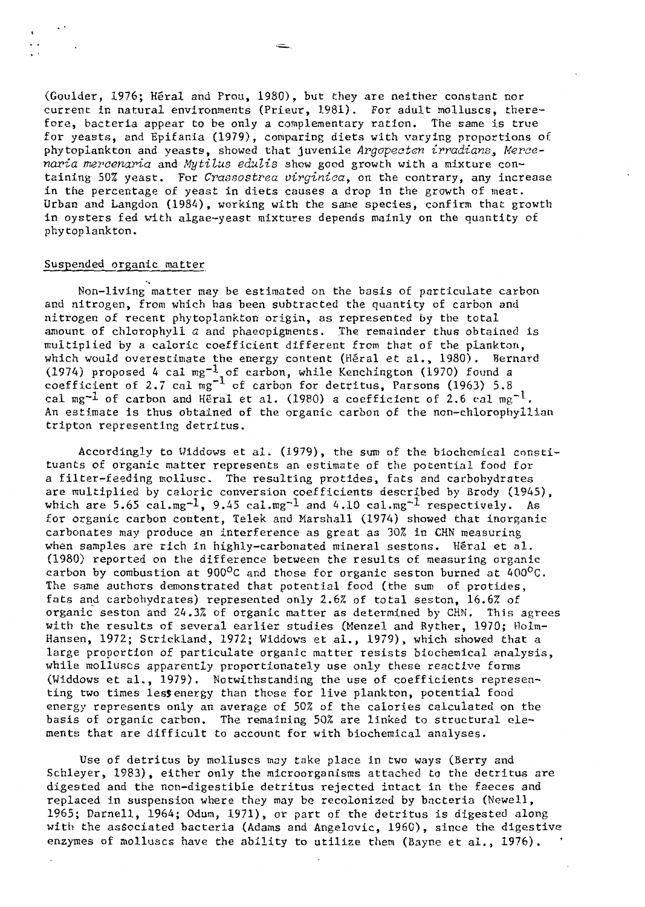(Goulder, 1976; Héral and Prou, 1980), but they are neither constant nor current in natural environments (Prieur, 1981). For adult molluscs, therefore, bacteria appear to be only a complementary ration. The same is true for yeasts, and Epifania (1979), comparing diets with varying proportions of phytoplankton and yeasts, showed that juvenile *Argopecten irradians, Mercenaria mercenaria* and *Mytilus edulis* show good growth with a mixture containing 50% yeast. For *Crassostrea virginica,* on the contrary, any increase in the percentage of yeast in diets causes a drop in the growth of meat. Urban and Langdon (1984), working with the same species, confirm that growth in oysters fed with algae-yeast mixtures depends mainly on the quantity of phytoplankton.

## Suspended organic matter

Non-living matter may be estimated on the basis of pnrticulate carbon and nitrogen, from which has been subtracted the quantity of carbon and nitrogen of recent phytoplankton origin, as represented by the total amount of chlorophyll *a* and phaeopigments. The remainder thus obtained is multiplied by a caloric coefficient different from that of the plankton, which would overestimate the energy content (Héral et al., 1980). Bernard (1974) proposed 4 cal mg $^{-1}$  of carbon, while Kenchington (1970) found a coefficient of 2.7 cal  $mg^{-1}$  of carbon for detritus, Parsons (1963) 5.8 cal mg<sup>-1</sup> of carbon and Heral et al. (1980) a coefficient of 2.6 cal mg<sup>-1</sup>. An estimate is thus obtained of the organic carbon of the non-chlorophyllian tripton representing detritus.

Accordingly to Widdows et al. (1979), the sum of the biochemical constituants of organic matter represents an estimate of the potential food for a filter-feeding mollusc. The resulting protides, fats and carbohydrates are multiplied by calorie conversion coefficients described by Brody (1945), which are 5.65 cal.mg<sup>-1</sup>, 9.45 cal.mg<sup>-1</sup> and 4.10 cal.mg<sup>-1</sup> respectively. As for organic carbon content, Telek and Marshall (1974) showed that inorganic carbonates may produce an interference as great as 30% in CHN measuring when samples are rich in highly-carbonated mineral sestons. Héral et al. (1980) reported on the difference between the results of measuring organic carbon by combustion at 900 $^{\circ}$ C and those for organic seston burned at 400 $^{\circ}$ C. The same authors demonstrated that potential food (the sum of protides, fats and carbohydrates) represented only 2.6% of total seston, 16.6% of organic seston and 24.3% of organic matter as determined by CHN. This agrees with the results of several earlier studies (Menzel and Ryther, 1970; Ho1m-Hansen, 1972; Strickland, 1972; Widdows et al., 1979), which showed that a large proportion of particulate organic matter resists biochemica1 ana1ysis, while mo1luses apparently proportionately use only these reactive forms (Widdows et al., 1979). Notwithstanding the use of coefficients representing two times les\$energy than those for live plankton, potential food energy represents only an average of 50% of the calories calculated on the basis of organie carbon. The remaining 50% are 1inked to structural elements that are difficu1t to aceount for with biochemical analyses.

Use of detritus by mo11uscs may take place in two ways (Berry and Schleyer, 1983), either only the microorganisms attached to the detritus are digested and the non-digestible detritus rejected intact in the faeces and replaced in suspension where they may be recolonized by bacteria (Newel1, 1965; Darne11, 1964; Odum, 1971), or part of the detritus is digested along with the associated bacteria (Adams and Angelovic, 1960), since the digestive enzymes of molluscs have the ability to utilize them (Bayne et al., 1976).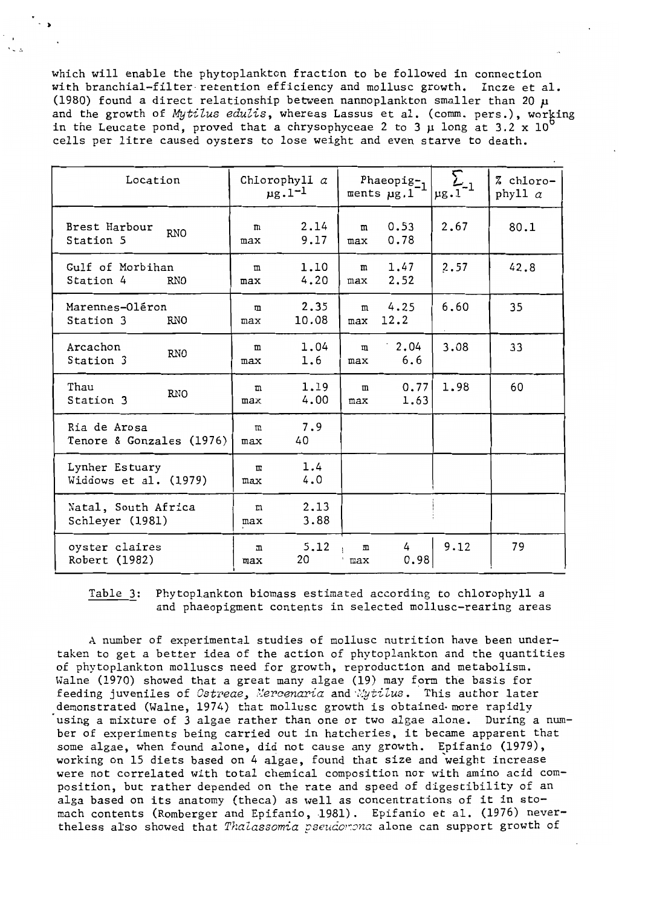which will enable the phytoplankton fraction to be followed in connection with branchial-filter retention efficiency and mollusc growth. Incze et al. (1980) found a direct relationship between nannoplankton smaller than 20  $\mu$ and the growth of Mytilus edulis, whereas Lassus et al. (comm. pers.), working in the Leucate pond, proved that a chrysophyceae 2 to 3  $\mu$  long at 3.2  $\chi$  10 cells per litre caused oysters to lose weight and even starve to death.

| Location                                    | Chlorophyll $\alpha$<br>$\mu$ g. 1 <sup>-1</sup> |               | Phaeopig $z_1$<br>ments $\mu$ g.1 |                     | $\mu$ g.1 | % chloro-<br>phyll $\alpha$ |
|---------------------------------------------|--------------------------------------------------|---------------|-----------------------------------|---------------------|-----------|-----------------------------|
| Brest Harbour<br><b>RNO</b><br>Station 5    | m<br>max                                         | 2.14<br>9.17  | m<br>max                          | 0.53<br>0.78        | 2.67      | 80.1                        |
| Gulf of Morbihan<br>Station 4<br><b>RNO</b> | $^{\rm m}$<br>max                                | 1.10<br>4.20  | m<br>max                          | 1.47<br>2.52        | 2.57      | 42.8                        |
| Marennes-Oléron<br>Station 3<br><b>RNO</b>  | m<br>max                                         | 2.35<br>10.08 | m<br>max                          | 4.25<br>12.2        | 6.60      | 35                          |
| Arcachon<br><b>RNO</b><br>Station 3         | m<br>max                                         | 1.04<br>1.6   | m<br>max                          | $\cdot$ 2.04<br>6.6 | 3.08      | 33                          |
| Thau<br><b>RNO</b><br>Station 3             | m<br>max                                         | 1.19<br>4.00  | $^{\rm{m}}$<br>max                | 0.77<br>1.63        | 1.98      | 60                          |
| Ria de Arosa<br>Tenore & Gonzales (1976)    | m<br>max                                         | 7.9<br>40     |                                   |                     |           |                             |
| Lynher Estuary<br>Widdows et al. (1979)     | $\mathbf{m}$<br>max                              | 1.4<br>4.0    |                                   |                     |           |                             |
| Natal, South Africa<br>Schleyer (1981)      | m<br>max                                         | 2.13<br>3.88  |                                   |                     |           |                             |
| oyster claires<br>Robert (1982)             | $\mathbf{m}$<br>max                              | 5.12<br>20    | m<br>max                          | 4<br>0.98           | 9.12      | 79                          |

Table 3: Phytoplankton biomass estimated according to chlorophyll a and phaeopigment contents in selected mollusc-rearing areas

A number of experimental studies of mollusc nutrition have been undertaken to get a better idea of the action of phytoplankton and the quantities of phytoplankton molluscs need for growth, reproduction and metabolism. Walne (1970) showed that a great many algae (19) may form the basis for feeding juveniles of Ostreae, Mercenaria and Mytilus. This author later demonstrated (Walne, 1974) that mollusc growth is obtained more rapidly using a mixture of 3 algae rather than one or two algae alone. During a number of experiments being carried out in hatcheries, it became apparent that some algae, when found alone, did not cause any growth. Epifanio (1979), working on 15 diets based on 4 algae, found that size and weight increase were not correlated with total chemical composition nor with amino acid composition, but rather depended on the rate and speed of digestibility of an alga based on its anatomy (theca) as well as concentrations of it in stomach contents (Romberger and Epifanio, 1981). Epifanio et al. (1976) nevertheless also showed that Thalassomia pseudorona alone can support growth of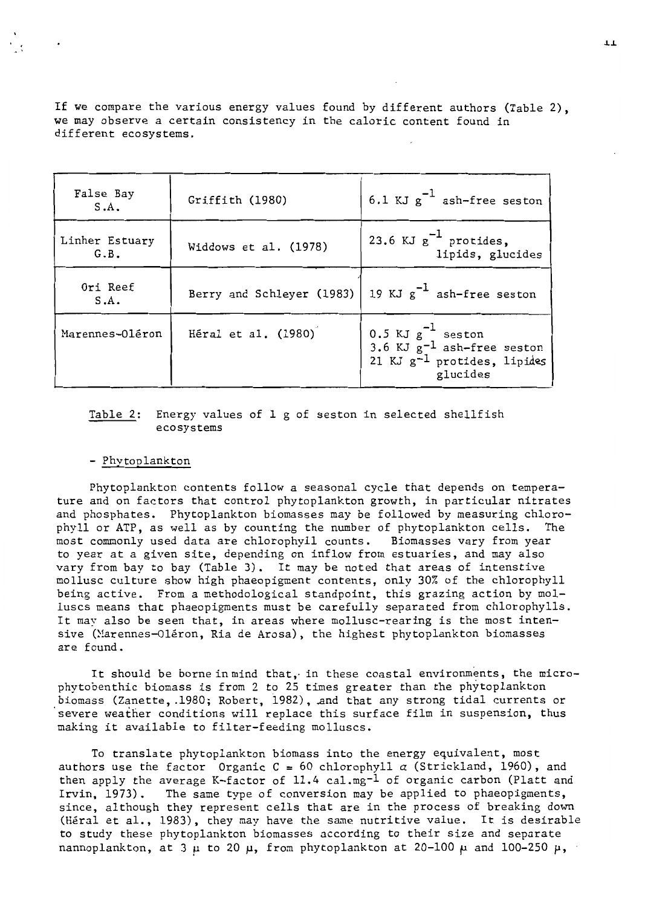If we compare the various energy values found by different authors (Table 2), we may observe a certain consistency in the calorie content found in different ecosystems.

| False Bay<br>S.A.      | Griffith (1980)       | 6.1 KJ $g^{-1}$ ash-free seston                                                                                  |
|------------------------|-----------------------|------------------------------------------------------------------------------------------------------------------|
| Linher Estuary<br>G.B. | Widdows et al. (1978) | 23.6 KJ $g^{-1}$ protides,<br>lipids, glucides                                                                   |
| Ori Reef<br>S.A.       |                       | Berry and Schleyer (1983)   19 KJ $g^{-1}$ ash-free seston                                                       |
| Marennes-Oléron        | Héral et al. (1980)   | 0.5 KJ $g^{-1}$ seston<br>3.6 KJ $g^{-1}$ ash-free seston<br>21 KJ g <sup>-1</sup> protides, lipides<br>glucides |

## Table 2: Energy values of 1 g of seston in selected shellfish ecosystems

## - Phytoolankton

Phytoplankton contents follow a seasonal cycle that depends on temperature and on factors that control phytoplankton growth, in particular nitrates and phosphates. Phytoplankton biomasses may be followed by measuring chlorophyll or ATP, as weIl as by counting the number of phytoplankton cells. The most commonly used data are chlorophyll counts. Biomasses vary from year to year at a given site, depending on inflow from estuaries, and may also vary from bay to bay (Table 3). It may be noted that areas of intenstive mollusc culture show high phaeopigment contents, only 30% of the chlorophyll being active. From a methodological standpoint, this grazing action by molluscs means that phaeopigments must be carefully separated from chlorophylls. It may also be seen that, in areas where mollusc-rearing is the most intensive (Marennes-Oléron, Ria de Arosa), the highest phytoplankton biomasses are found.

It should be borne in mind that, in these coastal environments, the microphytobenthic biomass is from 2 to 25 tirnes greater than the phytoplankton biomass (Zanette, .1980; Robert, 1982), And that any strong tidal currents or severe weather conditions will replace this surface film in suspension, thus making it available to filter-feeding molluscs.

To translate phytoplankton biomass into the energy equivalent, most authors use the factor Organic C = 60 chlorophyll  $\alpha$  (Strickland, 1960), and then apply the average K-factor of  $11.4$  cal.mg<sup>-1</sup> of organic carbon (Platt and Irvin, 1973). The same type of conversion may be applied to phaeopigments, The same type of conversion may be applied to phaeopigments, since, although they represent cells that are in the process of breaking down (Héral et al., 1983), they may have the same nutritive value. It is desirable to study these phytoplankton biomasses according to their size and separate nannoplankton, at 3  $\mu$  to 20  $\mu$ , from phytoplankton at 20-100  $\mu$  and 100-250  $\mu$ ,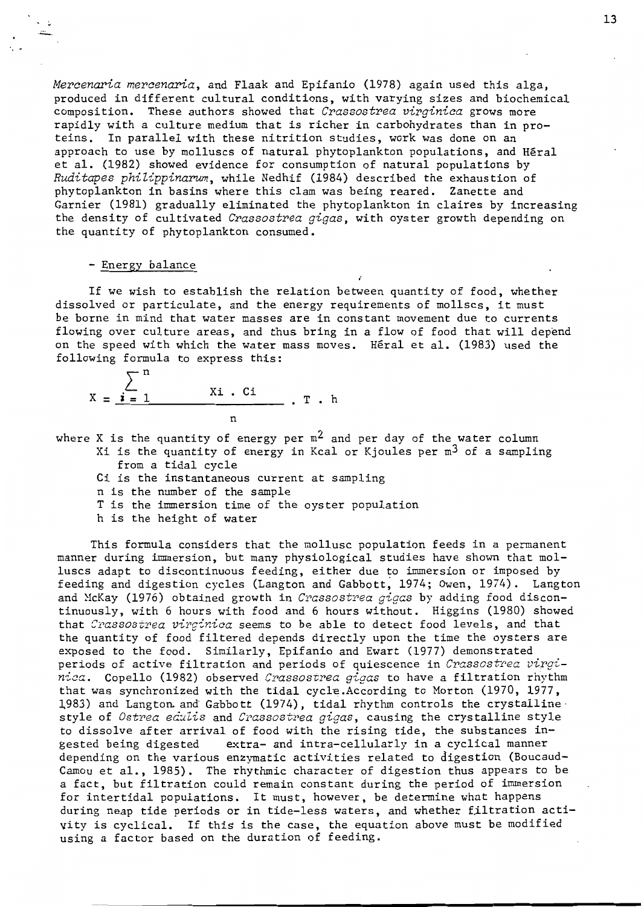*Mercenaria mercenaria,* and Flaak and Epifanio (1978) again used this alga, produced in different cultural conditions, with varying sizes and biochemical composition. These authors showed that *Crassostrea virginica* grows more rapidly with a culture medium that is richer in carbohydrates than in proteins. In parallel with these nitrition studies, work was done on an approach to use by molluscs of natural phytoplankton populations, and Héral et al. (1982) showed evidence for consumption of natural populations by *Ruditapes phiZippinarum,* while Nedhif (1984) described the exhaustion of phytoplankton in basins where this clam was being reared. Zanette and Garnier (1981) gradually eliminated the phytoplankton in claires by increasing the density of cultivated *Crassostrea gigas,* with oyster growth depending on the quantity of phytoplankton consumed.

## - Energy balance

 $\ddot{\phantom{0}}$  .

If we wish to establish the relation between quantity of food, whether dissolved or particulate, and the energy requirements of mollscs, it must be borne in mind that water masses are in constant movement due to currents flowing over culture areas, and thus bring in a flow of food that will depend on the speed with which the water mass moves. Héral et al. (1983) used the following formula to express this:

$$
X = \frac{\sum_{i=1}^{n} x_i \cdot ci}{n} \cdot T \cdot h
$$

where X is the quantity of energy per  $m^2$  and per day of the water column Xi is the quantity of energy in Kcal or Kjoules per  $m^3$  of a sampling

from a tidal cycle

Ci is the instantaneous current at sampling

n is the number of the sample

T is the immersion time of the oyster population

h is the height of water

This formula considers that the mollusc population feeds in a permanent manner during immersion, but many physiological studies have shown that molluscs adapt to discontinuous feeding, either due to immersion or imposed by feeding and digestion cycles (Langton and Gabbott, 1974; Owen, 1974). Langton and McKay (1976) obtained growth in *Crassostrea gigas* by adding food discontinuously, with 6 hours with food and 6 hours without. Higgins (1980) showed that *Crassostrea virqinica* seerns to be able to detect food levels, and that the quantity of food filtered depends directly upon the time the oysters are exposed to the food. Similarly, Epifanio and Ewart (1977) demonstrated periods of active filtration and periods of quiescence in *Crassostrea virgi*nica. Copello (1982) observed *Crassostrea gigas* to have a filtration rhythm that was synchronized with the tidal cycle.According to Morton (1970, 1977, 1983) and Langton and Gabbott (1974), tidal rhythm controls the crystalline style of *Ostrea edulis* and *Crassostrea gigas*, causing the crystalline style to dissolve after arrival of food with the rising tide, the substances in-<br>gested being digested extra- and intra-cellularly in a cyclical manner extra- and intra-cellularly in a cyclical manner depending on the various enzymatic activities related to digestion (Boucaud-Camou et al., 1985). The rhythmic character of digestion thus appears to be a fact, but filtration could remain constant during the period of immersion for intertidal populations. It must, however, be determine what happens during neap tide periods or in tide-less waters, and whether filtration activity is cyclical. If this is the case, the equation above must be modified using a factor based on the duration of feeding.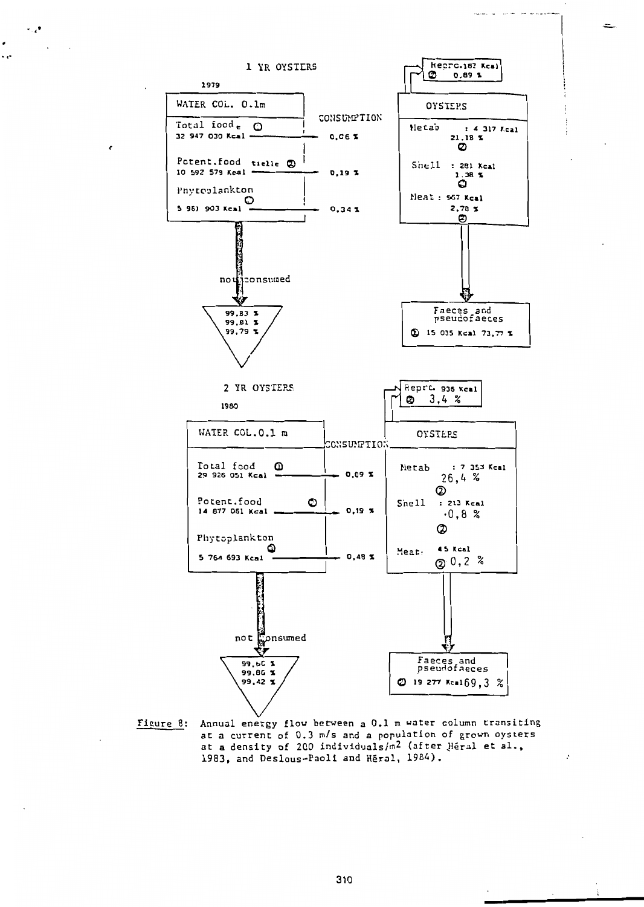

 $\ddotsc$ 

 $\sim 10^{-11}$ 

**r** 

 $\bullet$ 

 $\ddotsc$ 

Figure 8: Annual energy flow between a 0.1 m water column transiting at a current of 0.3 m/s and a population of grown oysters at a density of 200 individuals/m<sup>2</sup> (after Heral et al., 1983, and Deslous-Paoli and Héral, 1984).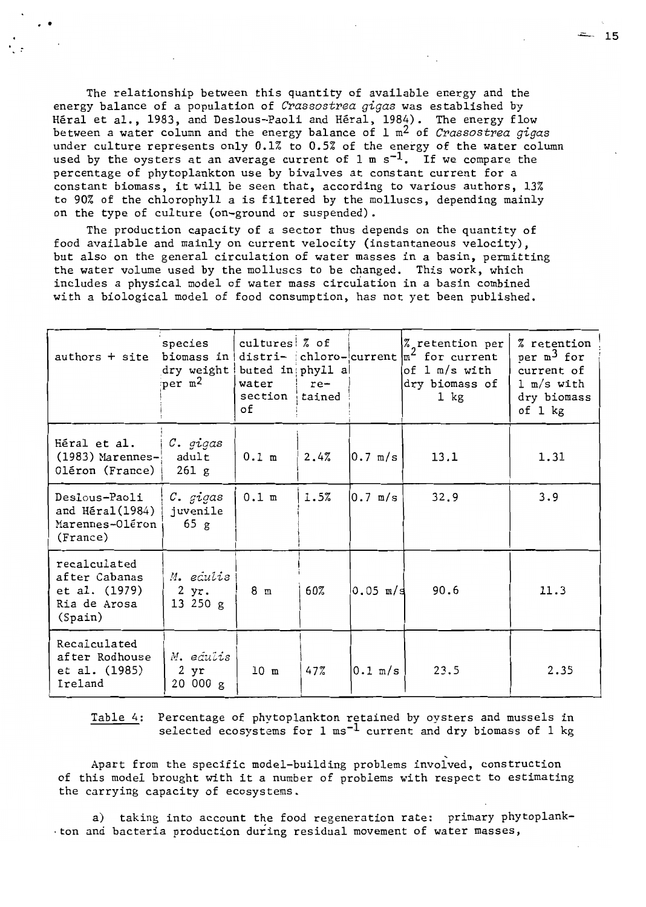The relationship between this quantity of available energy and the energy balance of a population of *Crassostrea gigas* was established by Héral et al., 1983, and Deslous-Paoli and Héral, 1984). The energy flow between a water column and the energy balance of l m2 of *Crassostrea gigas*  under culture represents only 0.1% to 0.5% of the energy of the water column used by the oysters at an average current of  $1 \text{ m s}^{-1}$ . If we compare the percentage of phytoplankton use by bivalves at constant current for a constant biomass, it will be seen that, according to various authors, 13% to 90% of the chlorophyll a is filtered by the molluscs, depending mainly on the type of culture (on-ground or suspended).

· .

The production capacity of a sector thus depends on the quantity of food available and mainly on current velocity (instantaneous velocity) , but also on the general circulation of water masses in a basin, permitting the water volume used by the molluscs to be changed. This work, which includes a physical model of water mass circuiation in a basin combined with a biological model of food consumption, has not yet been published.

| $authors + site$                                                          | species<br>biomass in<br>dry weight<br>per $m2$ | $cutures$ $%$ of<br>buted in phyll a<br>water<br>section<br>οf | re-<br>tained |                     | Z retention per<br>distri- chloro-current $ m^2$ for current<br>of 1 m/s with<br>dry biomass of<br>$1 \; \text{kg}$ | <i>Z</i> retention<br>per $m^3$ for<br>current of<br>$1 \text{ m/s}$ with<br>dry biomass<br>of $1$ $kg$ |
|---------------------------------------------------------------------------|-------------------------------------------------|----------------------------------------------------------------|---------------|---------------------|---------------------------------------------------------------------------------------------------------------------|---------------------------------------------------------------------------------------------------------|
| Héral et al.<br>$(1983)$ Marennes-<br>Oléron (France)                     | C. gigas<br>adult<br>261 g                      | $0.1$ m                                                        | 2.4%          | $0.7 \, \text{m/s}$ | 13.1                                                                                                                | 1.31                                                                                                    |
| Deslous-Paoli<br>and Héral(1984)<br>Marennes-Oléron<br>(France)           | C. gigas<br>juvenile<br>65 g                    | $0.1$ m                                                        | 1.5%          | 10.7 m/s            | 32.9                                                                                                                | 3.9                                                                                                     |
| recalculated<br>after Cabanas<br>et al. (1979)<br>Ria de Arosa<br>(Spain) | M. edulis<br>2 yr.<br>13250 g                   | 8 <sub>m</sub>                                                 | 60%           | $0.05$ m/s          | 90.6                                                                                                                | 11.3                                                                                                    |
| Recalculated<br>after Rodhouse<br>et al. (1985)<br>Ireland                | M. edulis<br>2 yr<br>20000g                     | 10 <sub>m</sub>                                                | 47%           | $0.1 \text{ m/s}$   | 23.5                                                                                                                | 2.35                                                                                                    |

Table 4: Percentage of phytoplankton retained by oysters and mussels in selected ecosystems for  $1 \text{ ms}^{-1}$  current and dry biomass of  $1 \text{ kg}$ 

Apart from the specific model-building problems involved, construction of this model brought with it a number of problems with respect to estimating the carrying capacity of ecosystems.

a) taking into account the food regeneration rate: primary phytoplank-. ton and bacteria production during residual movement of water masses,

 $= 15$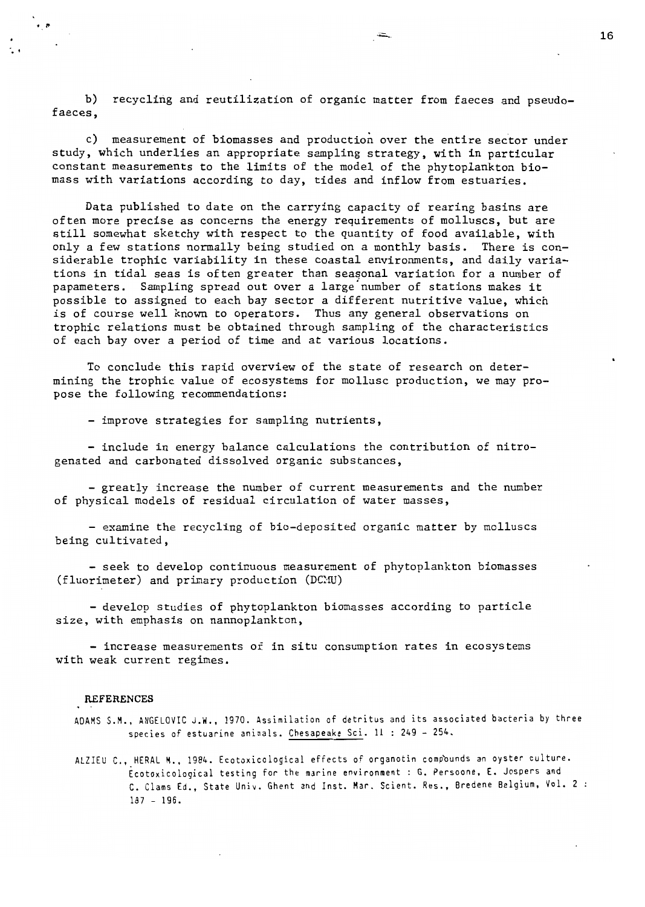b) recycling and reutilization of organic matter from faeces and pseudofaeces,

c) measurement of biomasses and production over the entire sector under study, which underlies an appropriate sampling strategy, with in particular constant measurements to the limits of the model of the phytoplankton biomass with variations according to day, tides and inflow from estuaries.

Data published to date on the carrying capacity of rearing basins are often more precise as concerns the energy requirements of molluscs, but are still somewhat sketchy with respect to the quantity of food available, with only a few stations normally being studied on a monthly basis. There is considerable trophic variability in these coastal environments, and daily variations in tidal seas is often greater than seasonal variation for a number of papameters. Sampling spread out over a large'number of stations makes it possible to assigned to each bay sector a different nutritive value, which is of course weIl known to operators. Thus any general observations on trophic relations must be obtained through sampling of the characteristics of each bay over a period of time and at various locations.

To conclude this rapid overview of the state of research on determining the trophic value of ecosystems for mollusc production, we may propose the following recommendations:

- improve strategies for sampling nutrients,

include in energy balance calculations the contribution of nitro genated and carbonated dissolved organic substances,

- greatly increase the number of current measurements and the number of physical models of residual circulation of water masses,

- examine the recycling of bio-deposited organic matter by molluscs being cultivated,

- seek to develop continuous measurement of phytoplankton biomasses (fluorimeter) and primary production (DCMU)

- develop studies of phytoplankton biomasses according to particle size, with emphasis on nannoplankton,

- increase measurements of in situ consumption rates in ecosystems with weak current regimes.

#### REFERENCES

 $\cdot$  .

- ADAMS S.M., ANGELOVIC J.W., 1970. Assimilation of detritus and its associated bacteria by three species of estuarine animals. Chesapeake Sci. 11 : 249 - 254.
- ALZIEU C., HERAL M., 1984. Ecotoxicolo9ical effects of organotin compèunds an oyster culture. Ècotoxicological testing for the marine environment : G. Persoone, E. Jaspers and C. Clams Ed., State Univ. Ghent and Inst. Mar. Scient. Res., Bredene Belgium, Vol. 2 : 187 - 196.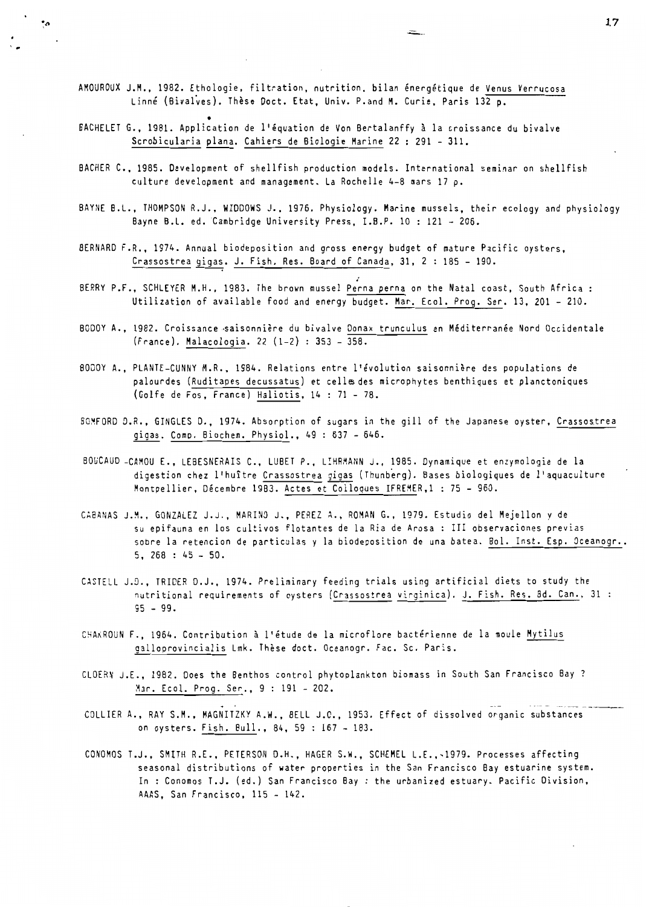AMOUROUX J.M., 1982. Ethologie, filtration, nutrition, bilan énergétique de Venus Verrucosa Linné (Bivalves). Thèse Doct. Etat, Univ. P.and M. Curie, Paris 132 p.

 $\cdot$ 

- BACHELET G., 1981. Application de l'équation de Von Bertalanffy à la croissance du bivalve Scrobicularia plana. Cahiers de Biologie Marine 22 : 291 - 311.
- BACHER C., 1985. Oevelopment of shellfish production models. International seminar on shellfish culture development and management. La Rochelle 4-8 mars 17 p.
- BAYNE B.L., THOMPSON R.J., WIODOWS J., 1976. Physiology. Marine mussels, their ecology and physiology Bayne B.L. ed. Cambridge University Press, I.B.P. 10 : 121 - 206.
- BERNARD F.R., 1974. Annual biodeposition and gross energy budget of mature Pacific oysters, Crassostrea gigas. J. Fish. Res. Board of Canada, 31, 2 : 185 - 190.
- BERRY P.F., SCHLEYER M.H., 1983. The brown mussel Perna perna on the Natal coast, South Africa : Utilization of available food and energy budget. Mar. Ecol. Prog. Ser. 13, 201 - 210.
- BODOY A., 1982. Croissance saisonnière du bivalve Donax trunculus en Méditerranée Nord Occidentale (France). Malacologia. 22 (1-2) : 353 - 358.
- BODOY A., PLANTE-CUNNY M.R., 1984. Relations entre l'évolution saisonnière des populations de palourdes (Ruditapes decussatus) et cells des microphytes benthiques et planctoniques (Golfe de Fos, France) Haliotis, 14 : 71 - 78.
- BO~FORD D.R., GINGLES D., 1974. Absorption of sugars in the gill of the Japanese oyster, Crassostrea gigas. Come. Biochem. Physiol., 49 : 637 - 646.
- BOUCAUD -CAMOU E., LEBESNERAIS C., LUBET P., L!HRMANN J., 1985. Dynamique et enzymologie de la digestion chez l'huître Crassostrea gigas (Thunberg). Bases biologiques de l'aquaculture Montpellier, Décembre 19B3. Actes et Colloques IFREMER,l : 75 - 960.
- CABANAS J.M., GONZALEZ J.J., MARINO J., PEREZ A., ROMAN G., 1979. Estudio del Mejellon y de su epifauna en los cultivos flotantes de la Ria de Arosa : III observaciones previas sobre la retencion de particulas y la biodeposition de una batea. Bol. Inst. Esp. Oceanogr.. 5, 268 : 45 - 50.
- CASTELL J.D., TRIDER D.J., 1974. Preliminary feeding trials using artificial diets to study the nutritional requirements of oysters (Crassostrea virginica). J. Fish. Res. Bd. Can., 31 95 - 99.
- CHA~ROUN F., 1964. Contribution à l'étude de la microflore bactérienne de la moule Mytilus galloprovincialis Lmk. Thèse doct. Oceanogr. Fac. Sc. Paris.
- CLOERN J.E., 1982. Does the Benthos control phytoplankton biomass in South San Francisco Bay? Mar. Ecol. Prog. Ser., 9 : 191 - 202.
- COLLIER A., RAY S.M., MAGNITZKY A.W., BELL J.O., 1953. Effect of dissolved organic substances on oysters. Fish. Bull., 84, 59 : 167 - 183.
- CONOMOS T.J., SMITH R.E., PETERSON D.H., HAGER S.W., SCHEMEL L.E.,-1979. Processes affecting seasonal distributions of water properties in the San Francisco Bay estuarine system. In : Conomos T.J. (ed.) San Francisco Bay: the urbanized estuary. Pacific Division, AAAS, San Francisco, 115 - 142.

**17**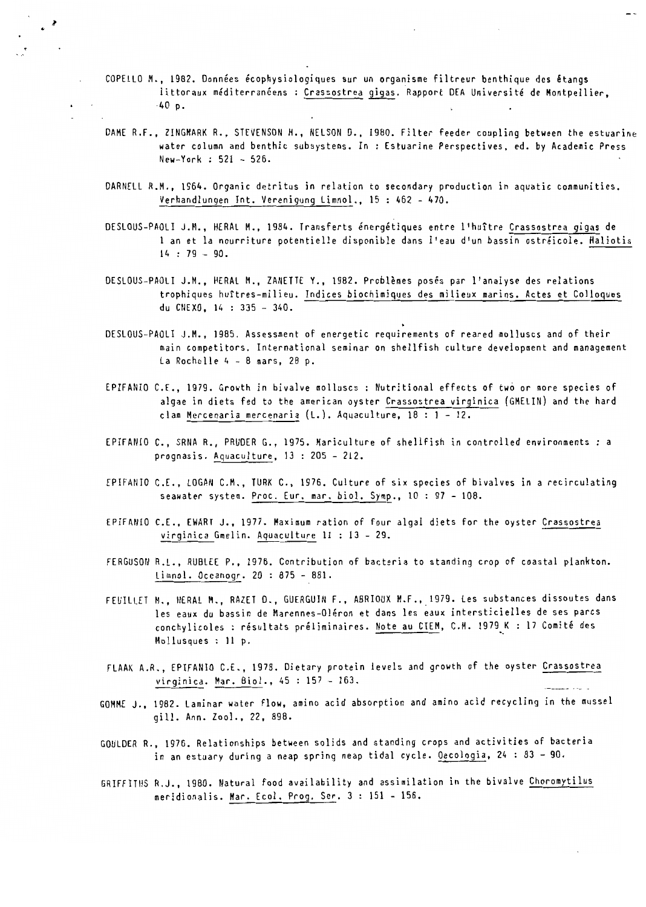CaPELLa M., 1982. Données écophysiologiques sur un organisme filtreur benthique des étangs littoraux méditerranéens: Crassostrea gigas. Rapport DEA Université de Montpellier, ·40 p.

 $\cdot$   $\rightarrow$ 

- DAME R.F., ZINGMARK R., STEVENSON H., NELSON D., 1980. Filter feeder coupling between the estuarine water column and benthic subsystems. In : Estuarine Perspectives, ed. by Academie Press New-York : 521 - 526.
- DARNELL R.M., 1964. Organic detritus in relation to secondary production in aquatic communities. Verhandlungen Int. Verenigung Limnol., 15 : 462 - 470.
- DESLOUS-PAOLI J.M., HERAL M., 1984. Transferts énergétiques entre l'huître Crassostrea gigas de 1 an et la nourriture potentielle disponible dans l'eau d'un bassin ostréicole. Haliotis  $14 : 79 - 90.$
- DESLOUS-PAOLI J.M., HERAL M., ZANETTE Y., 1982. Problèmes posés par l'analyse des relations trophiques huîtres-milieu. Indices biochimiques des milieux marins. Actes et Colloques du CIIDO, 14 : 335 - 340.
- DESLOUS-PAOLI J.M., 1985. Assessment of energetic requirements of reared molluscs and of their main competitors. International seminar on shellfish culture development and management La Rochelle 4 - 8 mars, 28 p.
- EPIFANIO C.E., 1979. Growth in bivalve molluscs : Nutritional effects of two or more species of algae in diets fed to the american oyster Crassostrea virginica (GMELIN) and the hard clam Mercenaria mercenaria (L.). Aquaculture,  $18 : 1 - 12$ .
- EPIFANIO C., SRNA R., PRUDER G., 1975. Mariculture of shellfish in controlled environments : a prognasis. Aquaculture, 13 : 205 - 212.
- EPIFANIO C.E., LOGAN C.M., TURK C., 1976. Culture of six species of bivalves in a reeireulating seawater system. Proe. Eur. mar. biol. Symp., 10 : 97 - 108.
- EPIFANIO C.E., EWART J., 1977. Maximum ration of four algal diets for the oyster Crassostrea virginica Gmelin. Aquaculture Il : 13 - 29.
- FERGUSON R.L., RUBLEE P., 1976. Contribution of bacteria to standing crop of coastal plankton. Limnol. Occanogr. 20 : 875 - 881.
- FEUILLET M., HERAL M., RAZET D., GUERGUIN F., ABRIOUX M.F., 1979. Les substances dissoutes dans les eaux du bassin de Marennes-Oléron et dans les eaux intersticielles de ses parcs conchylicoles : résultats préliminaires. Note au CIEM, C.M. 1979 K : 17 Comité des Mollusques: Il p.
- FLAAK A.R., EPIFANIO C.E., 1978. Dietary protein levels and growth of the oyster Crassostrea virginica. Mar. Biol., 45 : 157 - 163.
- GOMME J., 1982. Laminar water flow, amino acid absorption and amino acid recycling in the mussel qill. Ann. Zool., 22, 898.
- GOULDER R., 1976. Relationships between solids and standing crops and activities of bacteria in an estuary during a neap spring neap tidal cycle. Oecologia, 24 : 83 - 90.
- GRIFFITHS R.J., 1980. Natural food availability and assimilation in the bivalve Choromytilus meridionalis. Mar. Ecol. Prog. Ser. 3 : 151 - 156.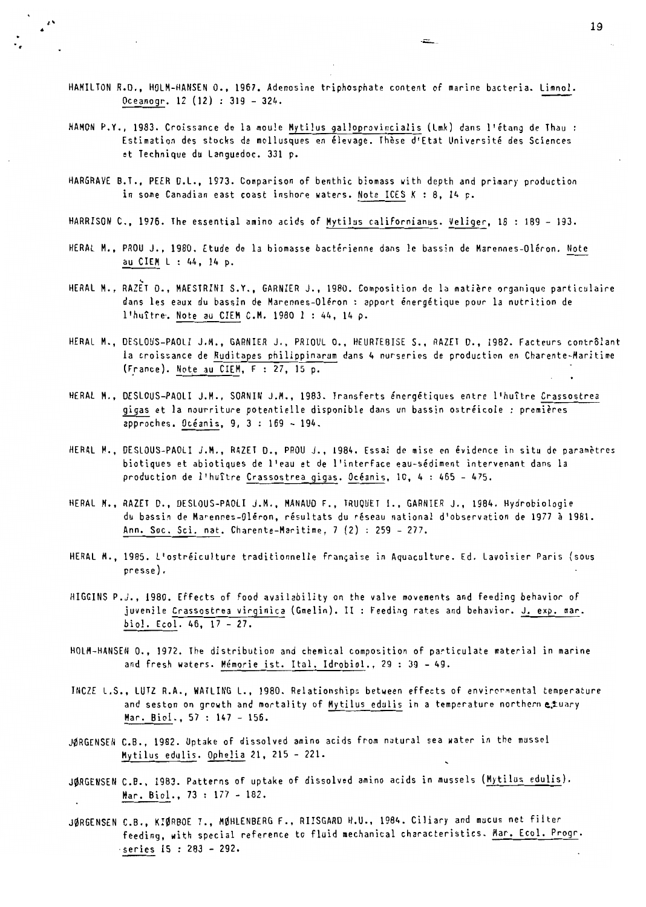HAMILTON R.D., HOLM-HANSEN O., 1957. Adenosine triphosphate content of marine bacteria. Limnol. Oceanogr. 12 (12) : 319 - 324.

.~-

- HAMON P.Y., 1983. Croissance de la moule Mytilus galloprovincialis (Lmk) dans l'étang de Thau: Estimation des stocks de mollusques en élevage. Thèse d'Etat Université des Sciences et Technique du Languedoc. 331 p.
- HARGRAVE B.T., PEER D.L., 1973. Comparison of benthic biomass with depth and primary production in some Canadian east coast inshore waters. Note ICES K : 8, 14 p.
- HARRISON C., 1976. The essential amino acids of Mytilus californianus. Veliger, 18 : 189 193.
- HERAL M., PROU J., 1980. Etude de la biomasse bactérienne dans le bassin de Marennes-Oléron. Note au CIEM L : 44, 14 p.
- HERAL M., RAZET D., MAESTRINI S.Y., GARNIER J., 1980. Composition de la matière organique particulaire dans les eaux du bassin de Marennes-Oléron: apport énergétique pour la nutrition de 1'huître. Note au CIEM C.M. 1980 1 : 44, 14 p.
- HERAL M., DESLOUS-PAOLI J.M., GARNIER J., PRIOUL O., HEURTEBISE S., RAZET D., 1982. Facteurs contrôlant la croissance de Ruditapes philippinarum dans 4 nurseries de production en Charente-Maritime (France). Note au CIEM, F : 27, 15 p.
- HERAL M., DESLOUS-PAOLI J.M., SORNIN J.M., 1983. Transferts énergétiques entre l'huître Crassostrea 9i9as et la nourriture potentielle disponible dans un bassin ostréicole: premières approches. Océanis, 9, 3 : 169 - 194.
- HERAL M., DESLOUS-PAOLI J.M., RAZET D., PROU J., 1984. Essai de mise en évidence in situ de paramètres biotiques et abiotiques de l'eau et de l'interface eau-sédiment intervenant dans la production de l'huître Crassostrea gigas. Océanis, 10, 4 : 465 - 475.
- HERAL M., RAZET D., DESLOUS-PAOLI J.M., MANAUD F., TRUQUET I., GARNIER J., 1984. Hydrobiologie du bassin de Marennes-Oléron, résultats du réseau national d'observation de 1977 à 1981. Ann. Soc. Sei. nat. Charente-Maritime, 7 (2) : 259 - 277.
- HERAL M., 1985. L'ostréiculture traditionnelle française in Aquaculture. Ed. Lavoisier Paris (sous presse).
- HIGGINS P.J., 1980. Effects of food availability on the valve movements and feeding behavior of juvenile Crassostrea virginica (Gmelin). II : Feeding rates and behavior. J. exp. mar. biol. Ecol. 46, 17 - 27.
- HOLM-HANSEN O., 1972. The distribution and chemical composition of particulate material in marine and fresh waters. Mémorie ist. Ital. Idrobiol., 29 : 39 - 49.
- INCZE L.S., LUTZ R.A., WATLING L., 1980. Relationships between effects of envircrmental temperature and seston on growth and mortality of Mytilus edulis in a temperature northern  $e, \pm$ uary Mar. Biol., 57 : 147 - 156.
- JØRGENSEN C.B., 1982. Uptake of dissolved amino acids from natural sea water in the mussel Mytilus edulis. Ophelia 21, 215 - 221.
- JØRGENSEN C.B., 1983. Patterns of uptake of dissolved amino acids in mussels (Mytilus edulis). Mar. Biol., 73 : 177 - 182.
- JØRGENSEN C.B., KIØRBOE T., MØHLENBERG F., RIISGARD H.U., 1984. Ciliary and mucus net filter feeding, with special reference to fluid mechanical characteristics. Mar. Ecol. Progr. ·series 15 : 283 - 292.

 $\cdot$   $\cdot$  19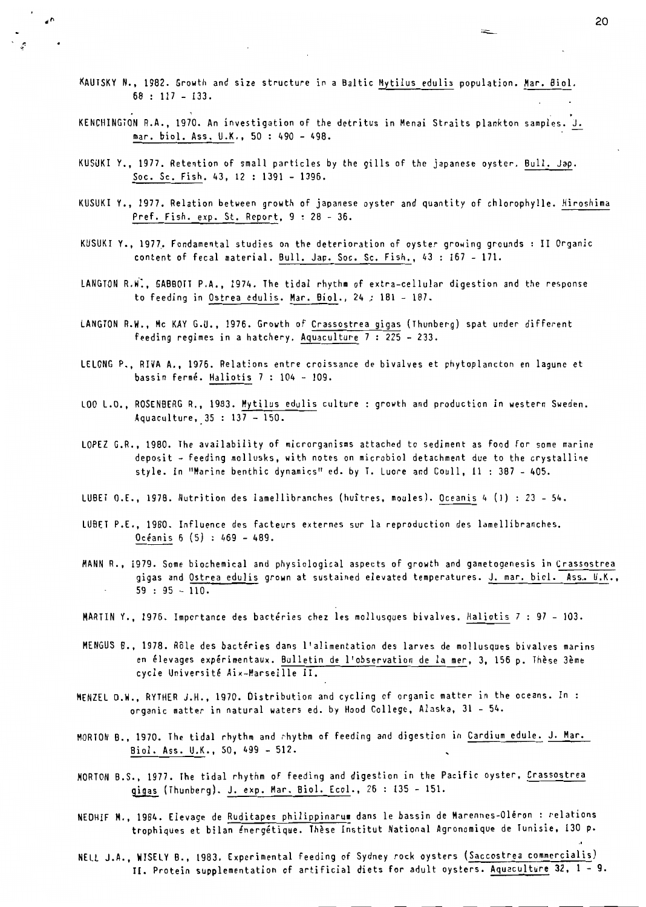KAUTSKY N., 1982. Growth and size structure in a Baltic Mytilus edulis population. Mar. Biol. 68 : 117 - 133.

 $\epsilon$ <sup>n</sup>

ુ

- KENCHINGTON R.A., 1970. An investigation of the detritus in Menai Straits plankton samples. J. mar. bio!. Ass. U.K., 50 : 490 - 498.
- KUSUKI Y., 1977. Retention of small particles by the gills of the japanese oyster. Bull. Jap. Soc. Sc. Fish. 43, 12 : 1391 - 1396.
- KUSUKI Y., 1977. Relation between growth of japanese oyster and quantity of chlorophylle. Hiroshima Pref. Fish. exp. St. Report, 9 : 28 - 36.
- KUSUKI Y., 1977. Fondamental studies on the deterioration of oyster growing grounds : II Organic content of fecal material. Bull. Jap. Soc. Sc. Fish., 43 : 167 - 171.
- LANGTON R.W~, GABBOTT P.A., 1974. The tidal rhythm of extra-cellular digestion and the response to feeding in Ostrea edulis. Mar. Biol., 24 ; 181 - 187.
- LANGTON R.W., Mc KAY G.U., 1976. Growth of Crassostrea gigas (Thunberg) spat under different feeding regimes in a hatchery. Aquaculture 7 : 225 - 233.
- LE LONG P., RIVA A., 1976. Relations entre croissance de bivalves et phytoplancton en lagune et bassin fermé. Haliotis 7 : 104 - 109.
- LOO L.O., ROSENBERG R., 1983. Mytilus edulis culture : growth and production in western Sweden. Aquaculture, 35 : 137 - 150.
- LOPEZ G.R., 1980. The availability of microrganisms attached to sediment as food for some marine deposit - feeding mollusks, with notes on microbiol detachment due to the crystalline style. In "Marine benthic dynamics" *ed.* by 1. Luore and Coull, Il : 387 - 405.
- LUBET O.E., 1978. Nutrition des lamellibranches (huîtres, moules). Oceanis 4 (1) : 23 54.
- LU8ET P.E., 1980. Influence des facteurs externes sur la reproduction des lamellibranches.  $0céanis 6 (5): 469 - 489.$
- MANN R., 1979. Some biochemical and physiological aspects of growth and gametogenesis in Crassostrea gigas and Ostrea edulis grown at sustained elevated temperatures. J. mar. biol. Ass. U.K.,  $59 : 95 - 110.$
- MARTIN Y., 1976. Importance des bactéries chez les mollusques bivalves. Haliotis 7 : 97 103.
- MENGUS B., 1978. Rôle des bactéries dans l'alimentation des larves de mollusques bivalves marins en élevages expérimentaux. Bulletin de l'observation de la mer, 3, 156 p. Thèse 3ème cycle Université Aix-Marseille II.
- MENZEL D.W., RYTHER J.H., 1970. Ùistribution and cycling of organic matter in the oceans. In organic matter in natural waters ed. by Hood College, Alaska, 31 - 54.
- MORTON B., 1970. The tidal rhythm and rhythm of feeding and digestion in Cardium edule. J. Mar. Biol. Ass. U.K., 50, 499 - 512.
- MORTON B.S., 1977. The tidal rhythm of feeding and digestion in the Pacifie oyster, Crassostrea (Thunberg), J. exp. Mar. Biol. Ecol., 26 : 135 - 151.
- NEDHIF H., 1984. Elevage de Ruditapes philippinarum dans le bassin de Marennes-Oléron: relations trophiques et bilan énergétique. Thèse Institut National Agronomique de Tunisie, 130 p.
- NELL J.A., WISELY B., 1983. Experimental feeding of Sydney rock oysters (Saccostrea commercialisl II. Protein supplementation of artificial diets for adult oysters. Aquaculture 32, 1 - 9.

20

.~.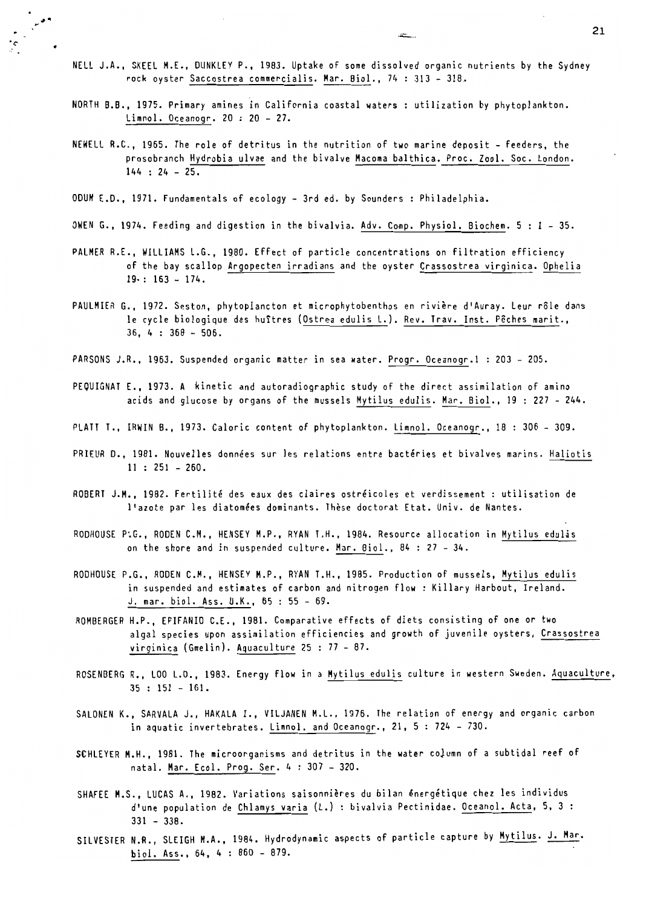- NELL J.A., SKEEL M.E., OUNKLEY P., 1983. Uptake of some dissolved organic nutrients by the Sydney rock oyster Saccostrea commercialis. Mar. Biol., 74 : 313 - 318.
- NORTH B.B., 1975. Primary amines in California coastal waters : utilization by phytoplankton. Limnol. Oceanogr.  $20:20 - 27$ .
- NEWELL R.C., 1965. The role of detritus in the nutrition of two marine deposit feeders, the prosobranch Hydrobia ulvae and the bivalve Macoma balthica. Proc. Zool. Soc. London.  $144 : 24 - 25.$

OOUM E.O., 1971. Fundamentals of ecology - 3rd ed. by Sounders : Philadelphia.

- OWEN G., 1974. Feeding and digestion in the bivalvia. Adv. Comp. Physiol. Biochem. 5 : 1 35.
- PALMER R.E., WILLIAMS L.G., 1980. Effect of particle concentrations on filtration efficiency of the bay scailop Argopecten irradians and the oyster Crassostrea virginica. Ophelia  $19: : 163 - 174.$
- PAULMIER G., 1972. Seston, phytoplancton et microphytobenthos en rivière d'Auray. leur rôle dans le cycle biologique des huîtres (Ostrea edulis L.). Rev. Trav. Inst. Pêches marit., 36, 4 : 368 - 506.
- PARSONS J.R., 1963. Suspended organic matter in sea water. Progr. Oceanogr.l : 203 205.
- PEQUIGNAT E., 1973. A kinetic and autoradiographic study of the direct assimilation of amino acids and glucose by organs of the mussels Mytilus edulis. Mar. Biol., 19 : 227 - 244.
- PLATT T., IRWIN B., 1973. Caloric content of phytoplankton. Limnol. Oceanogr., 18 : 306 309.
- PRIEUR *D.,* 1981. Nouvelles données sur les relations entre bactéries et bivalves marins. Haliotis Il : 251 - 260.
- ROBERT J.H., 1982. Fertilité des eaux des claires ostréicoles et verdissement: utilisation de l'azote par les diatomées dominants. Thèse doctorat Etat. Univ. de Nantes.
- RODHOUSE P.G., RODEN C.M., HENSEY M.P., RYAN T.H., 1984. Resource allocation in Mytilus edulis on the shore and in suspended culture. Mar. Biol., 84 : 27 - 34.
- RODHOUSE P.G., ROOEN C.M., HENSEY M.P., RYAN T.H., 1985. Production of mussels, Hytilus edulis in suspended and estimates of carbon and nitrogen flow : Killary Harbout, Ireland. J. mar. biol. Ass. U.K., 65 : 55 - 69.
- ROMBERGER H.P., EPIFANIO C.E., 1981. Comparative effects of diets consisting of one or two algal species upon assimilation efficiencies and growth of juvenile oysters, Crassostrea virginica (Gmelin). Aquaculture 25 : 77 - 87.
- ROSENBERG R., LOO L.O., 1983. Energy flow in a Mytilus edulis culture in western Sweden. Aquaculture, 35 : 151 - 161.
- SALONEN K., SARVALA J., HAKAlA 1., VILJANEN M.L., 1976. The relation of energy and or9anic carbon in aquatic invertebrates. Limnol. and Oceanogr., 21, 5 : 724 - 730.
- SCHlEYER M.H., 1981. The microorganisms and detritus in the water coJumn of a subtidal reef of natal. Har. Ecol. Prog. Ser. 4 : 307 - 320.
- SHAFEE H.S., LUCAS A., 1982. Variations saisonnières du bilan énergétique chez les individus d'une population de Chlamys varia (L.) : bivalvia Pectinidae. Oceanol. Acta, 5, 3 : 331 - 338.
- SILVESTER N.R., SLEIGH M.A., 1984. Hydrodynamic aspects of particle capture by Mytilus. J. Mar. biol. Ass., 64, 4 : 860 - 879.

 $\sim$  . The contract of the contract of the contract of the contract of the contract of the contract of the contract of the contract of the contract of the contract of the contract of the contract of the contract of the co